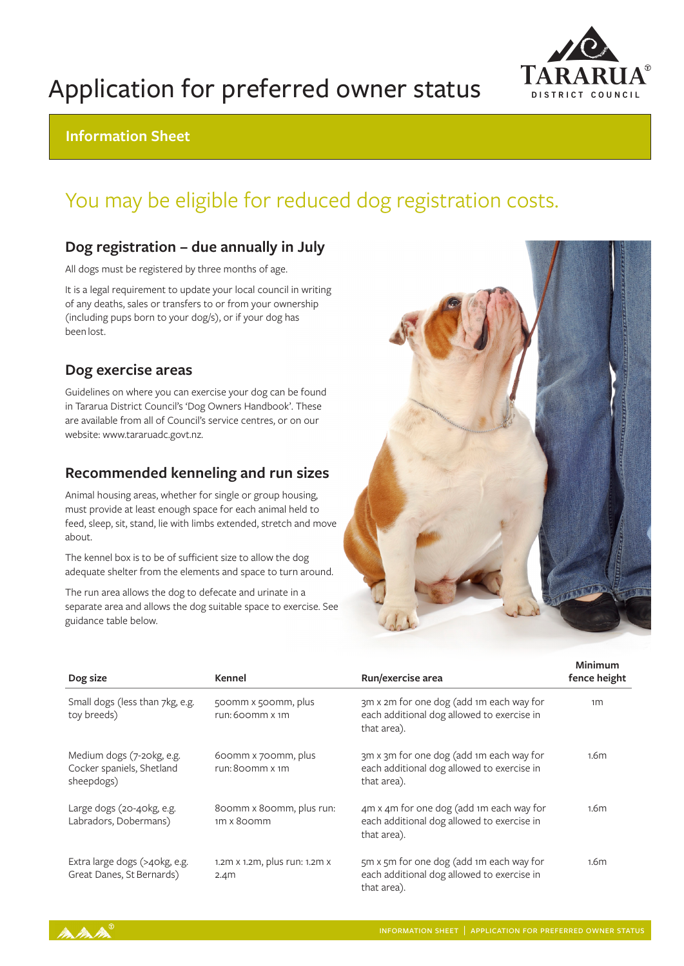

## Application for preferred owner status

## **Information Sheet**

## You may be eligible for reduced dog registration costs.

## **Dog registration – due annually in July**

All dogs must be registered by three months of age.

It is a legal requirement to update your local council in writing of any deaths, sales or transfers to or from your ownership (including pups born to your dog/s), or if your dog has been lost.

## **Dog exercise areas**

Guidelines on where you can exercise your dog can be found in Tararua District Council's 'Dog Owners Handbook'. These are available from all of Council's service centres, or on our website: www.tararuadc.govt.nz.

## **Recommended kenneling and run sizes**

Animal housing areas, whether for single or group housing, must provide at least enough space for each animal held to feed, sleep, sit, stand, lie with limbs extended, stretch and move about.

The kennel box is to be of sufficient size to allow the dog adequate shelter from the elements and space to turn around.

The run area allows the dog to defecate and urinate in a separate area and allows the dog suitable space to exercise. See guidance table below.



| Dog size                                                             | Kennel                                            | Run/exercise area                                                                                     | Minimum<br>fence height |
|----------------------------------------------------------------------|---------------------------------------------------|-------------------------------------------------------------------------------------------------------|-------------------------|
| Small dogs (less than 7kg, e.g.<br>toy breeds)                       | 500mm x 500mm, plus<br>run: 600mm x 1m            | 3m x 2m for one dog (add 1m each way for<br>each additional dog allowed to exercise in<br>that area). | 1 <sub>m</sub>          |
| Medium dogs (7-20kg, e.g.<br>Cocker spaniels, Shetland<br>sheepdogs) | 600mm x 700mm, plus<br>run: 800mm x 1m            | 3m x 3m for one dog (add 1m each way for<br>each additional dog allowed to exercise in<br>that area). | 1.6 <sub>m</sub>        |
| Large dogs (20-40kg, e.g.<br>Labradors, Dobermans)                   | 800mm x 800mm, plus run:<br>1m x 800mm            | 4m x 4m for one dog (add 1m each way for<br>each additional dog allowed to exercise in<br>that area). | 1.6 <sub>m</sub>        |
| Extra large dogs (>40kg, e.g.<br>Great Danes, St Bernards)           | 1.2m x 1.2m, plus run: 1.2m x<br>2.4 <sub>m</sub> | 5m x 5m for one dog (add 1m each way for<br>each additional dog allowed to exercise in<br>that area). | 1.6 <sub>m</sub>        |

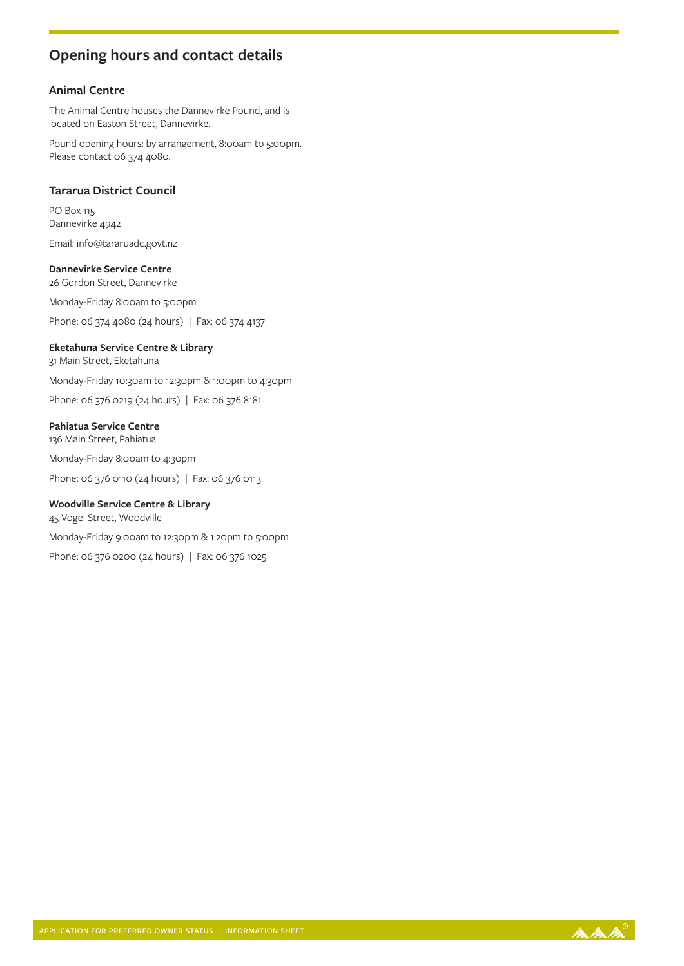## **Opening hours and contact details**

#### **Animal Centre**

The Animal Centre houses the Dannevirke Pound, and is located on Easton Street, Dannevirke.

Pound opening hours: by arrangement, 8:00am to 5:00pm. Please contact 06 374 4080.

#### **Tararua District Council**

PO Box 115 Dannevirke 4942

Email: info@tararuadc.govt.nz

**Dannevirke Service Centre** 26 Gordon Street, Dannevirke

Monday-Friday 8:00am to 5:00pm

Phone: 06 374 4080 (24 hours) | Fax: 06 374 4137

#### **Eketahuna Service Centre & Library**

31 Main Street, Eketahuna

Monday-Friday 10:30am to 12:30pm & 1:00pm to 4:30pm

Phone: 06 376 0219 (24 hours) | Fax: 06 376 8181

#### **Pahiatua Service Centre**

136 Main Street, Pahiatua

Monday-Friday 8:00am to 4:30pm

Phone: 06 376 0110 (24 hours) | Fax: 06 376 0113

#### **Woodville Service Centre & Library**

45 Vogel Street, Woodville

Monday-Friday 9:00am to 12:30pm & 1:20pm to 5:00pm

Phone: 06 376 0200 (24 hours) | Fax: 06 376 1025

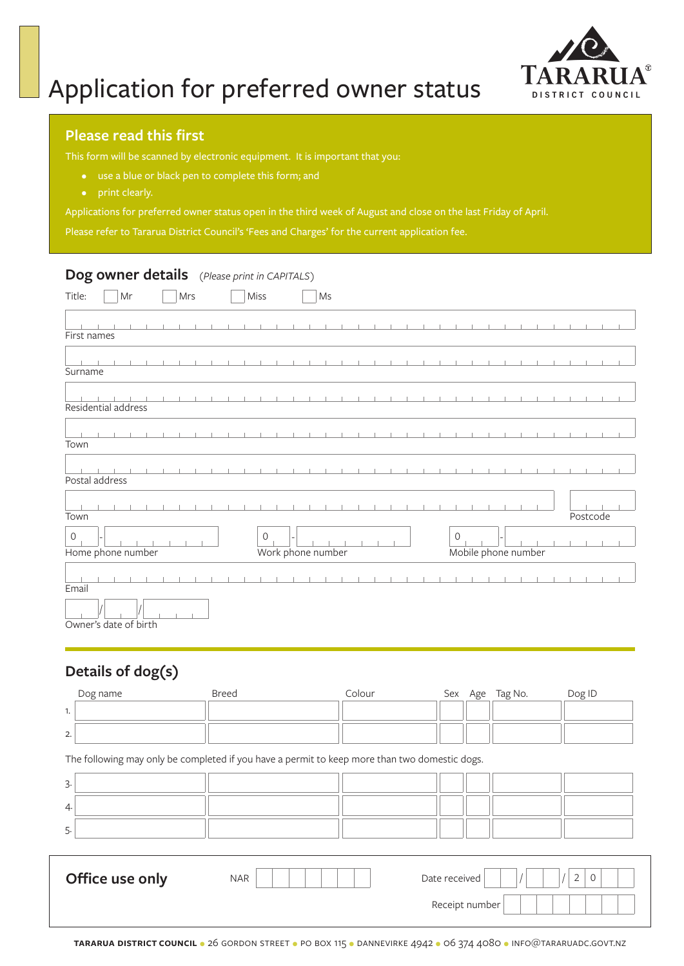

# Application for preferred owner status

### **Please read this first**

This form will be scanned by electronic equipment. It is important that you:

- use a blue or black pen to complete this form; and
- 

Applications for preferred owner status open in the third week of August and close on the last Friday of April.

Please refer to Tararua District Council's 'Fees and Charges' for the current application fee.

### **Dog owner details** *(Please print in CAPITALS)*

| Title:<br>Mr                     | Mrs | Miss           | $\mathsf{Ms}$     |                                      |
|----------------------------------|-----|----------------|-------------------|--------------------------------------|
| First names                      |     |                |                   |                                      |
| Surname                          |     |                |                   |                                      |
| Residential address              |     |                |                   |                                      |
| Town                             |     |                |                   |                                      |
| Postal address                   |     |                |                   |                                      |
| Town                             |     |                |                   | Postcode                             |
| $\mathbf 0$<br>Home phone number |     | $\overline{O}$ | Work phone number | $\mathcal{O}$<br>Mobile phone number |
| Email                            |     |                |                   |                                      |
| Owner's date of birth            |     |                |                   |                                      |

## **Details of dog(s)**

| Dog name                                                                                      | <b>Breed</b> | Colour | Sex Age        | Tag No. | Dog ID                    |
|-----------------------------------------------------------------------------------------------|--------------|--------|----------------|---------|---------------------------|
| 1.                                                                                            |              |        |                |         |                           |
| 2.                                                                                            |              |        |                |         |                           |
| The following may only be completed if you have a permit to keep more than two domestic dogs. |              |        |                |         |                           |
| 3.                                                                                            |              |        |                |         |                           |
| 4.                                                                                            |              |        |                |         |                           |
| 5.                                                                                            |              |        |                |         |                           |
|                                                                                               |              |        |                |         |                           |
| Office use only                                                                               | <b>NAR</b>   |        | Date received  |         | $\overline{2}$<br>$\circ$ |
|                                                                                               |              |        | Receipt number |         |                           |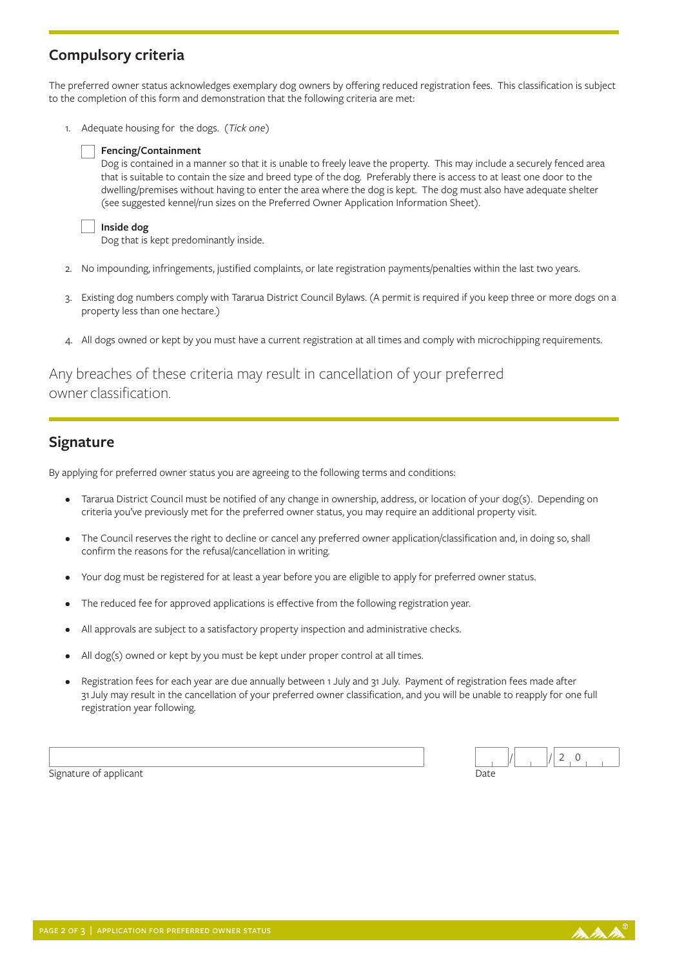## **Compulsory criteria**

The preferred owner status acknowledges exemplary dog owners by offering reduced registration fees. This classification is subject to the completion of this form and demonstration that the following criteria are met:

1. Adequate housing for the dogs. *(Tick one)*

#### **Fencing/Containment**

Dog is contained in a manner so that it is unable to freely leave the property. This may include a securely fenced area that is suitable to contain the size and breed type of the dog. Preferably there is access to at least one door to the dwelling/premises without having to enter the area where the dog is kept. The dog must also have adequate shelter (see suggested kennel/run sizes on the Preferred Owner Application Information Sheet).

| Inside dog |  |
|------------|--|

Dog that is kept predominantly inside.

- 2. No impounding, infringements, justified complaints, or late registration payments/penalties within the last two years.
- 3. Existing dog numbers comply with Tararua District Council Bylaws. (A permit is required if you keep three or more dogs on a property less than one hectare.)
- 4. All dogs owned or kept by you must have a current registration at all times and comply with microchipping requirements.

## Any breaches of these criteria may result in cancellation of your preferred owner classification.

## **Signature**

By applying for preferred owner status you are agreeing to the following terms and conditions:

- Tararua District Council must be notified of any change in ownership, address, or location of your dog(s). Depending on criteria you've previously met for the preferred owner status, you may require an additional property visit.
- The Council reserves the right to decline or cancel any preferred owner application/classification and, in doing so, shall confirm the reasons for the refusal/cancellation in writing.
- Your dog must be registered for at least a year before you are eligible to apply for preferred owner status.
- The reduced fee for approved applications is effective from the following registration year.
- All approvals are subject to a satisfactory property inspection and administrative checks.
- All dog(s) owned or kept by you must be kept under proper control at all times.
- Registration fees for each year are due annually between 1 July and 31 July. Payment of registration fees made after 31 July may result in the cancellation of your preferred owner classification, and you will be unable to reapply for one full registration year following.

 $2 \quad 0$ 

Signature of applicant Date of an all the state of applicant Date of a part of the Date of the Date of the Date of the Date of the Date of the Date of the Date of the Date of the Date of the Date of the Date of the Date of